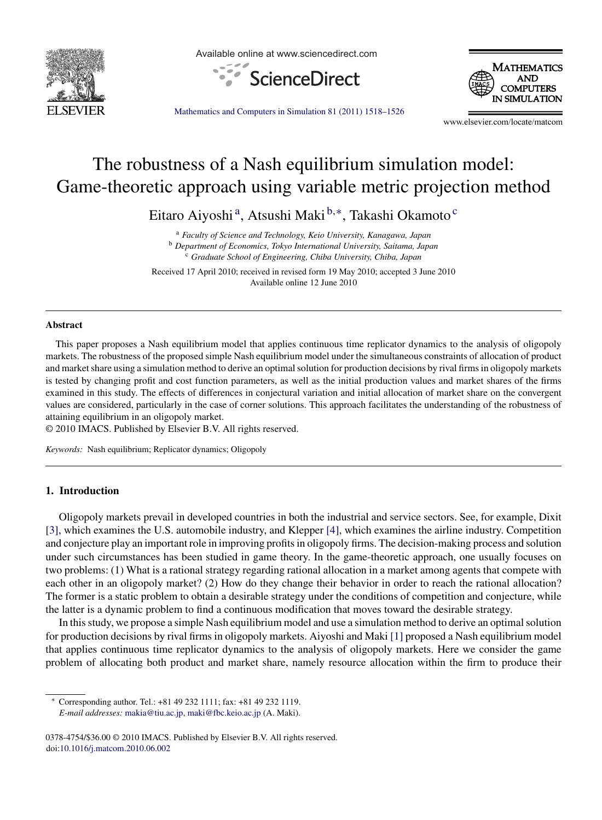

Available online at www.sciencedirect.com





[Mathematics and Computers in Simulation 81 \(2011\) 1518–1526](dx.doi.org/10.1016/j.matcom.2010.06.002)

www.elsevier.com/locate/matcom

# The robustness of a Nash equilibrium simulation model: Game-theoretic approach using variable metric projection method

Eitaro Aiyoshi a, Atsushi Maki <sup>b</sup>,∗, Takashi Okamoto <sup>c</sup>

<sup>a</sup> *Faculty of Science and Technology, Keio University, Kanagawa, Japan* <sup>b</sup> *Department of Economics, Tokyo International University, Saitama, Japan* <sup>c</sup> *Graduate School of Engineering, Chiba University, Chiba, Japan*

Received 17 April 2010; received in revised form 19 May 2010; accepted 3 June 2010 Available online 12 June 2010

### **Abstract**

This paper proposes a Nash equilibrium model that applies continuous time replicator dynamics to the analysis of oligopoly markets. The robustness of the proposed simple Nash equilibrium model under the simultaneous constraints of allocation of product and market share using a simulation method to derive an optimal solution for production decisions by rival firms in oligopoly markets is tested by changing profit and cost function parameters, as well as the initial production values and market shares of the firms examined in this study. The effects of differences in conjectural variation and initial allocation of market share on the convergent values are considered, particularly in the case of corner solutions. This approach facilitates the understanding of the robustness of attaining equilibrium in an oligopoly market.

© 2010 IMACS. Published by Elsevier B.V. All rights reserved.

*Keywords:* Nash equilibrium; Replicator dynamics; Oligopoly

### **1. Introduction**

Oligopoly markets prevail in developed countries in both the industrial and service sectors. See, for example, Dixit [\[3\], w](#page--1-0)hich examines the U.S. automobile industry, and Klepper [\[4\], w](#page--1-0)hich examines the airline industry. Competition and conjecture play an important role in improving profits in oligopoly firms. The decision-making process and solution under such circumstances has been studied in game theory. In the game-theoretic approach, one usually focuses on two problems: (1) What is a rational strategy regarding rational allocation in a market among agents that compete with each other in an oligopoly market? (2) How do they change their behavior in order to reach the rational allocation? The former is a static problem to obtain a desirable strategy under the conditions of competition and conjecture, while the latter is a dynamic problem to find a continuous modification that moves toward the desirable strategy.

In this study, we propose a simple Nash equilibrium model and use a simulation method to derive an optimal solution for production decisions by rival firms in oligopoly markets. Aiyoshi and Maki [\[1\]](#page--1-0) proposed a Nash equilibrium model that applies continuous time replicator dynamics to the analysis of oligopoly markets. Here we consider the game problem of allocating both product and market share, namely resource allocation within the firm to produce their

<sup>∗</sup> Corresponding author. Tel.: +81 49 232 1111; fax: +81 49 232 1119. *E-mail addresses:* [makia@tiu.ac.jp](mailto:makia@tiu.ac.jp), [maki@fbc.keio.ac.jp](mailto:maki@fbc.keio.ac.jp) (A. Maki).

<sup>0378-4754/\$36.00 © 2010</sup> IMACS. Published by Elsevier B.V. All rights reserved. doi[:10.1016/j.matcom.2010.06.002](dx.doi.org/10.1016/j.matcom.2010.06.002)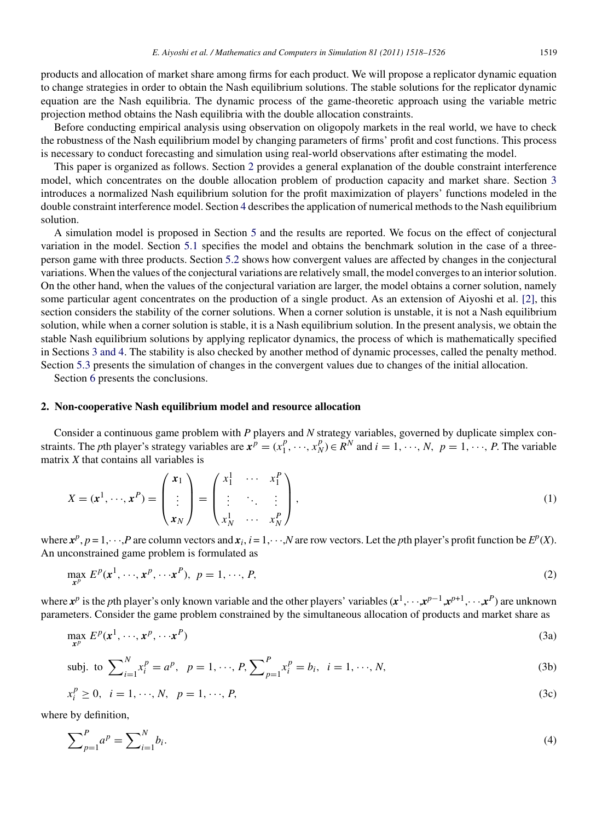products and allocation of market share among firms for each product. We will propose a replicator dynamic equation to change strategies in order to obtain the Nash equilibrium solutions. The stable solutions for the replicator dynamic equation are the Nash equilibria. The dynamic process of the game-theoretic approach using the variable metric projection method obtains the Nash equilibria with the double allocation constraints.

Before conducting empirical analysis using observation on oligopoly markets in the real world, we have to check the robustness of the Nash equilibrium model by changing parameters of firms' profit and cost functions. This process is necessary to conduct forecasting and simulation using real-world observations after estimating the model.

This paper is organized as follows. Section 2 provides a general explanation of the double constraint interference model, which concentrates on the double allocation problem of production capacity and market share. Section [3](#page--1-0) introduces a normalized Nash equilibrium solution for the profit maximization of players' functions modeled in the double constraint interference model. Section [4](#page--1-0) describes the application of numerical methods to the Nash equilibrium solution.

A simulation model is proposed in Section [5](#page--1-0) and the results are reported. We focus on the effect of conjectural variation in the model. Section [5.1](#page--1-0) specifies the model and obtains the benchmark solution in the case of a threeperson game with three products. Section [5.2](#page--1-0) shows how convergent values are affected by changes in the conjectural variations. When the values of the conjectural variations are relatively small, the model converges to an interior solution. On the other hand, when the values of the conjectural variation are larger, the model obtains a corner solution, namely some particular agent concentrates on the production of a single product. As an extension of Aiyoshi et al. [\[2\],](#page--1-0) this section considers the stability of the corner solutions. When a corner solution is unstable, it is not a Nash equilibrium solution, while when a corner solution is stable, it is a Nash equilibrium solution. In the present analysis, we obtain the stable Nash equilibrium solutions by applying replicator dynamics, the process of which is mathematically specified in Sections [3 and 4. T](#page--1-0)he stability is also checked by another method of dynamic processes, called the penalty method. Section [5.3](#page--1-0) presents the simulation of changes in the convergent values due to changes of the initial allocation.

Section [6](#page--1-0) presents the conclusions.

#### **2. Non-cooperative Nash equilibrium model and resource allocation**

Consider a continuous game problem with *P* players and *N* strategy variables, governed by duplicate simplex constraints. The *p*th player's strategy variables are  $x^p = (x_1^p, \dots, x_N^p) \in R^N$  and  $i = 1, \dots, N$ ,  $p = 1, \dots, P$ . The variable matrix *X* that contains all variables is

$$
X = (\mathbf{x}^1, \cdots, \mathbf{x}^P) = \begin{pmatrix} \mathbf{x}_1 \\ \vdots \\ \mathbf{x}_N \end{pmatrix} = \begin{pmatrix} x_1^1 & \cdots & x_1^P \\ \vdots & \ddots & \vdots \\ x_N^1 & \cdots & x_N^P \end{pmatrix},
$$
(1)

where  $x^p$ ,  $p = 1, \dots, P$  are column vectors and  $x_i$ ,  $i = 1, \dots, N$  are row vectors. Let the *p*th player's profit function be  $E^p(X)$ . An unconstrained game problem is formulated as

$$
\max_{\mathbf{x}^p} E^p(\mathbf{x}^1, \cdots, \mathbf{x}^p, \cdots \mathbf{x}^p), \ p = 1, \cdots, P,\tag{2}
$$

where  $x^p$  is the *p*th player's only known variable and the other players' variables  $(x^1, \dots, x^{p-1}, x^{p+1}, \dots, x^P)$  are unknown parameters. Consider the game problem constrained by the simultaneous allocation of products and market share as

$$
\max_{\mathbf{x}^p} E^p(\mathbf{x}^1, \cdots, \mathbf{x}^p, \cdots, \mathbf{x}^p) \tag{3a}
$$

$$
\text{subj. to } \sum_{i=1}^{N} x_i^p = a^p, \ \ p = 1, \cdots, P, \sum_{p=1}^{P} x_i^p = b_i, \ \ i = 1, \cdots, N,
$$
\n<sup>(3b)</sup>

$$
x_i^p \ge 0, \quad i = 1, \dots, N, \quad p = 1, \dots, P,\tag{3c}
$$

where by definition,

$$
\sum_{p=1}^{P} a^p = \sum_{i=1}^{N} b_i.
$$
 (4)